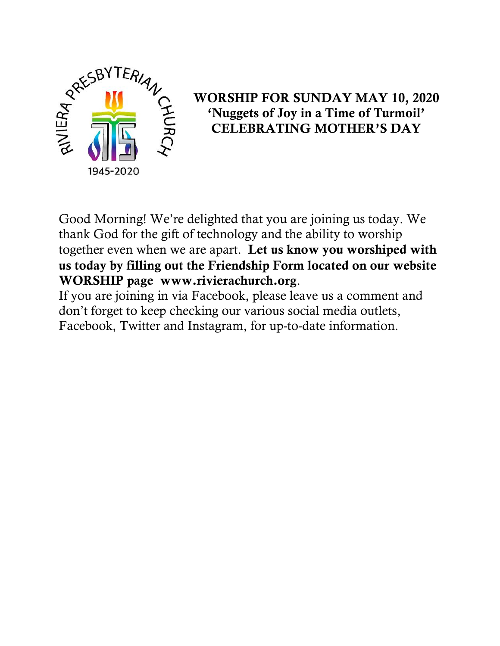

# WORSHIP FOR SUNDAY MAY 10, 2020 'Nuggets of Joy in a Time of Turmoil' CELEBRATING MOTHER'S DAY

Good Morning! We're delighted that you are joining us today. We thank God for the gift of technology and the ability to worship together even when we are apart. Let us know you worshiped with us today by filling out the Friendship Form located on our website WORSHIP page www.rivierachurch.org.

If you are joining in via Facebook, please leave us a comment and don't forget to keep checking our various social media outlets, Facebook, Twitter and Instagram, for up-to-date information.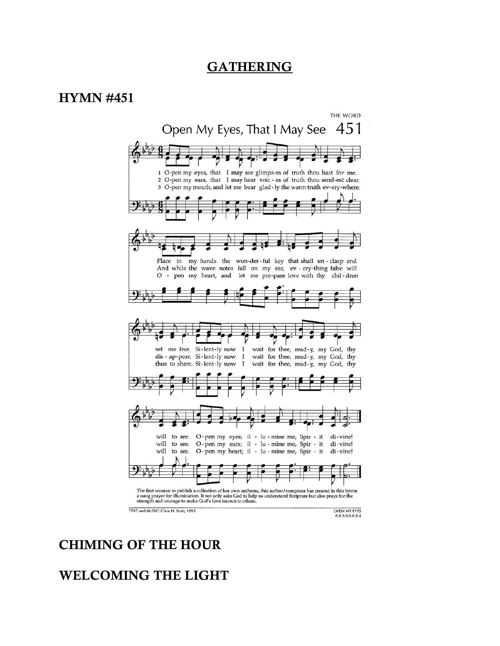#### GATHERING

#### HYMN #451



#### CHIMING OF THE HOUR

#### WELCOMING THE LIGHT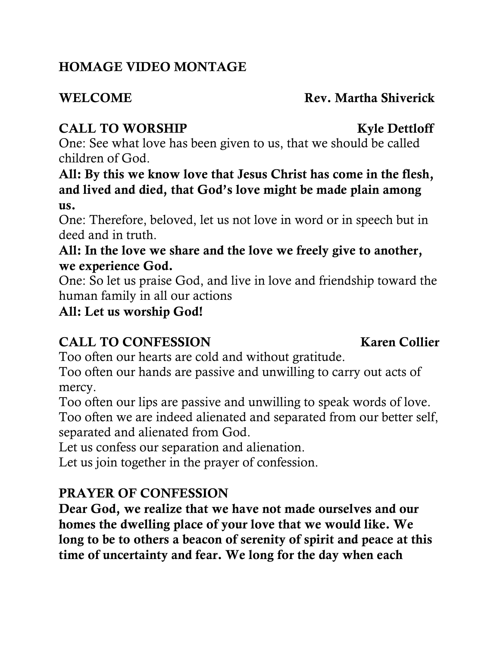# HOMAGE VIDEO MONTAGE

### WELCOME Rev. Martha Shiverick

# CALL TO WORSHIP Kyle Dettloff

One: See what love has been given to us, that we should be called children of God.

All: By this we know love that Jesus Christ has come in the flesh, and lived and died, that God's love might be made plain among us.

One: Therefore, beloved, let us not love in word or in speech but in deed and in truth.

### All: In the love we share and the love we freely give to another, we experience God.

One: So let us praise God, and live in love and friendship toward the human family in all our actions

All: Let us worship God!

# CALL TO CONFESSION Karen Collier

Too often our hearts are cold and without gratitude.

Too often our hands are passive and unwilling to carry out acts of mercy.

Too often our lips are passive and unwilling to speak words of love. Too often we are indeed alienated and separated from our better self, separated and alienated from God.

Let us confess our separation and alienation.

Let us join together in the prayer of confession.

# PRAYER OF CONFESSION

Dear God, we realize that we have not made ourselves and our homes the dwelling place of your love that we would like. We long to be to others a beacon of serenity of spirit and peace at this time of uncertainty and fear. We long for the day when each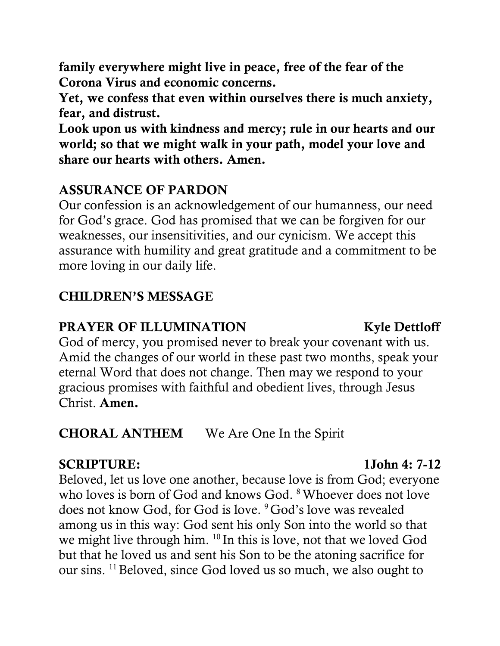family everywhere might live in peace, free of the fear of the Corona Virus and economic concerns.

Yet, we confess that even within ourselves there is much anxiety, fear, and distrust.

Look upon us with kindness and mercy; rule in our hearts and our world; so that we might walk in your path, model your love and share our hearts with others. Amen.

### ASSURANCE OF PARDON

Our confession is an acknowledgement of our humanness, our need for God's grace. God has promised that we can be forgiven for our weaknesses, our insensitivities, and our cynicism. We accept this assurance with humility and great gratitude and a commitment to be more loving in our daily life.

### CHILDREN'S MESSAGE

### **PRAYER OF ILLUMINATION** Kyle Dettloff

God of mercy, you promised never to break your covenant with us. Amid the changes of our world in these past two months, speak your eternal Word that does not change. Then may we respond to your gracious promises with faithful and obedient lives, through Jesus Christ. Amen.

## CHORAL ANTHEM We Are One In the Spirit

#### SCRIPTURE: 1John 4: 7-12

Beloved, let us love one another, because love is from God; everyone who loves is born of God and knows God. <sup>8</sup>Whoever does not love does not know God, for God is love. <sup>9</sup> God's love was revealed among us in this way: God sent his only Son into the world so that we might live through him. <sup>10</sup> In this is love, not that we loved God but that he loved us and sent his Son to be the atoning sacrifice for our sins. <sup>11</sup>Beloved, since God loved us so much, we also ought to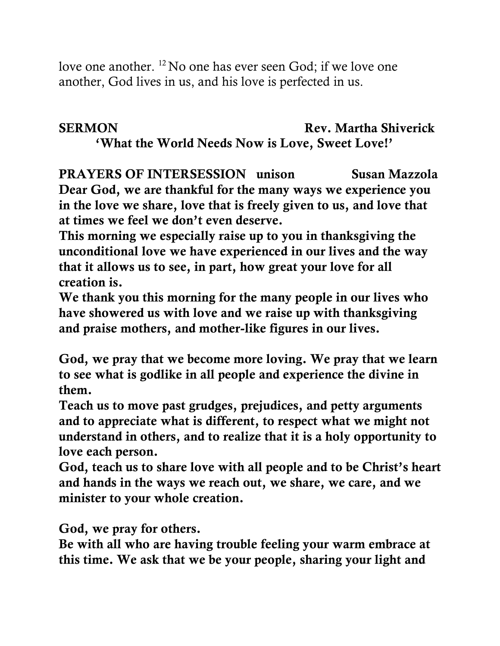love one another. <sup>12</sup> No one has ever seen God; if we love one another, God lives in us, and his love is perfected in us.

# SERMON Rev. Martha Shiverick

'What the World Needs Now is Love, Sweet Love!'

PRAYERS OF INTERSESSION unison Susan Mazzola Dear God, we are thankful for the many ways we experience you in the love we share, love that is freely given to us, and love that at times we feel we don't even deserve.

This morning we especially raise up to you in thanksgiving the unconditional love we have experienced in our lives and the way that it allows us to see, in part, how great your love for all creation is.

We thank you this morning for the many people in our lives who have showered us with love and we raise up with thanksgiving and praise mothers, and mother-like figures in our lives.

God, we pray that we become more loving. We pray that we learn to see what is godlike in all people and experience the divine in them.

Teach us to move past grudges, prejudices, and petty arguments and to appreciate what is different, to respect what we might not understand in others, and to realize that it is a holy opportunity to love each person.

God, teach us to share love with all people and to be Christ's heart and hands in the ways we reach out, we share, we care, and we minister to your whole creation.

God, we pray for others.

Be with all who are having trouble feeling your warm embrace at this time. We ask that we be your people, sharing your light and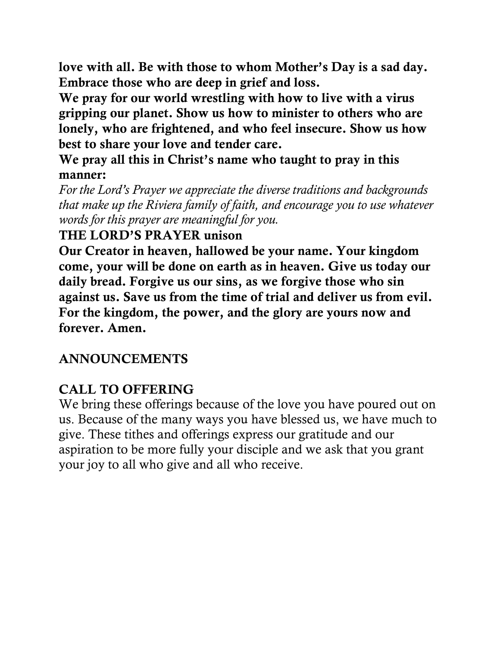love with all. Be with those to whom Mother's Day is a sad day. Embrace those who are deep in grief and loss.

We pray for our world wrestling with how to live with a virus gripping our planet. Show us how to minister to others who are lonely, who are frightened, and who feel insecure. Show us how best to share your love and tender care.

We pray all this in Christ's name who taught to pray in this manner:

*For the Lord's Prayer we appreciate the diverse traditions and backgrounds that make up the Riviera family of faith, and encourage you to use whatever words for this prayer are meaningful for you.*

#### THE LORD'S PRAYER unison

Our Creator in heaven, hallowed be your name. Your kingdom come, your will be done on earth as in heaven. Give us today our daily bread. Forgive us our sins, as we forgive those who sin against us. Save us from the time of trial and deliver us from evil. For the kingdom, the power, and the glory are yours now and forever. Amen.

### ANNOUNCEMENTS

### CALL TO OFFERING

We bring these offerings because of the love you have poured out on us. Because of the many ways you have blessed us, we have much to give. These tithes and offerings express our gratitude and our aspiration to be more fully your disciple and we ask that you grant your joy to all who give and all who receive.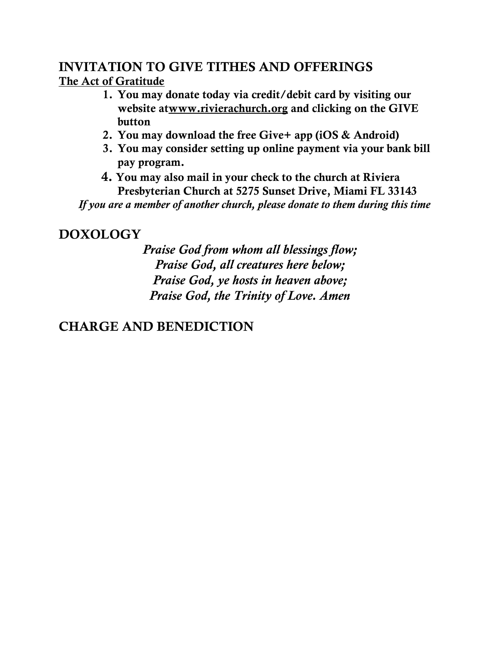# INVITATION TO GIVE TITHES AND OFFERINGS

The Act of Gratitude

- 1. You may donate today via credit/debit card by visiting our website a[twww.rivierachurch.org](http://www.rivierachurch.org/) and clicking on the GIVE button
- 2. You may download the free Give+ app (iOS & Android)
- 3. You may consider setting up online payment via your bank bill pay program.
- 4. You may also mail in your check to the church at Riviera Presbyterian Church at 5275 Sunset Drive, Miami FL 33143

 *If you are a member of another church, please donate to them during this time*

## DOXOLOGY

*Praise God from whom all blessings flow; Praise God, all creatures here below; Praise God, ye hosts in heaven above; Praise God, the Trinity of Love. Amen*

# CHARGE AND BENEDICTION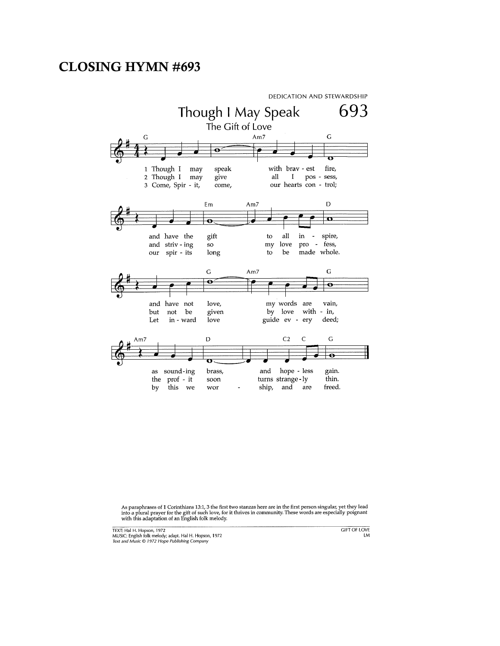#### CLOSING HYMN #693



As paraphrases of 1 Corinthians 13:1, 3 the first two stanzas here are in the first person singular, yet they lead<br>into a plural prayer for the gift of such love, for it thrives in community. These words are especially poi

TEXT: Hal H. Hopson, 1972<br>MUSIC: English folk melody; adapt. Hal H. Hopson, 1972<br>Text and Music © 1972 Hope Publishing Company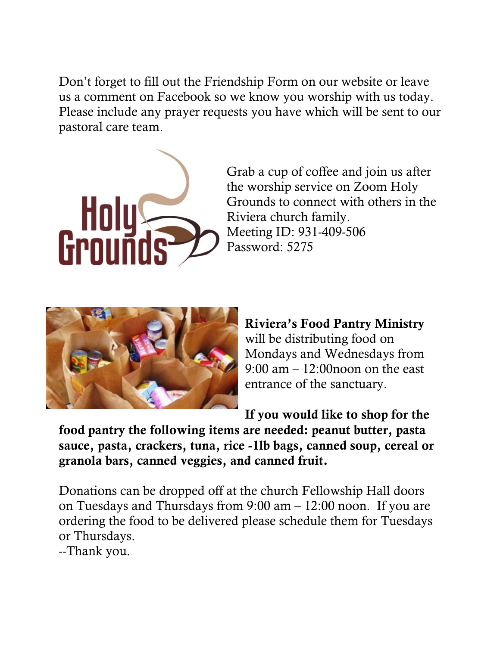Don't forget to fill out the Friendship Form on our website or leave us a comment on Facebook so we know you worship with us today. Please include any prayer requests you have which will be sent to our pastoral care team.



Grab a cup of coffee and join us after the worship service on Zoom Holy Grounds to connect with others in the Riviera church family. Meeting ID: 931-409-506 Password: 5275



Riviera's Food Pantry Ministry will be distributing food on Mondays and Wednesdays from 9:00 am – 12:00noon on the east entrance of the sanctuary.

If you would like to shop for the

food pantry the following items are needed: peanut butter, pasta sauce, pasta, crackers, tuna, rice -1lb bags, canned soup, cereal or granola bars, canned veggies, and canned fruit.

Donations can be dropped off at the church Fellowship Hall doors on Tuesdays and Thursdays from 9:00 am – 12:00 noon. If you are ordering the food to be delivered please schedule them for Tuesdays or Thursdays.

--Thank you.